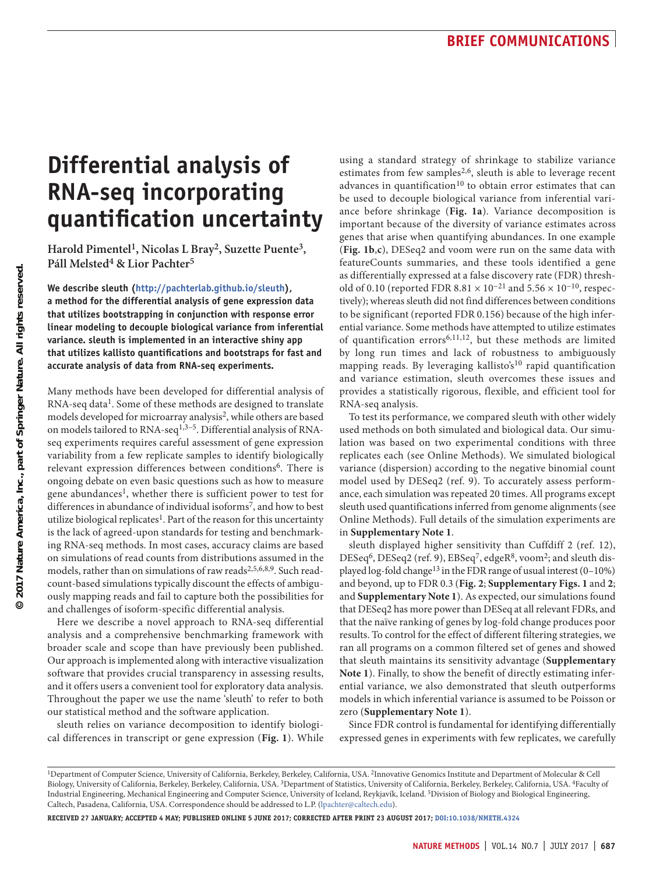# **Differential analysis of RNA-seq incorporating quantification uncertainty**

**Harold Pimentel1, Nicolas L Bray2, Suzette Puente3, Páll Melsted4 & Lior Pachter5**

**We describe sleuth (<http://pachterlab.github.io/sleuth>), a method for the differential analysis of gene expression data that utilizes bootstrapping in conjunction with response error linear modeling to decouple biological variance from inferential variance. sleuth is implemented in an interactive shiny app that utilizes kallisto quantifications and bootstraps for fast and accurate analysis of data from RNA-seq experiments.**

Many methods have been developed for differential analysis of RNA-seq data<sup>[1](#page-3-0)</sup>. Some of these methods are designed to translate models developed for microarray analysis<sup>2</sup>, while others are based on models tailored to RNA-seq<sup>[1,](#page-3-0)3-5</sup>. Differential analysis of RNAseq experiments requires careful assessment of gene expression variability from a few replicate samples to identify biologically relevant expression differences between conditions<sup>[6](#page-3-4)</sup>. There is ongoing debate on even basic questions such as how to measure gene abundances<sup>[1](#page-3-0)</sup>, whether there is sufficient power to test for differences in abundance of individual isoforms<sup>7</sup>, and how to best utilize biological replicates<sup>1</sup>. Part of the reason for this uncertainty is the lack of agreed-upon standards for testing and benchmarking RNA-seq methods. In most cases, accuracy claims are based on simulations of read counts from distributions assumed in the models, rather than on simulations of raw reads<sup>[2,](#page-3-1)[5,](#page-3-3)[6,](#page-3-4)[8,](#page-3-6)[9](#page-3-7)</sup>. Such readcount-based simulations typically discount the effects of ambiguously mapping reads and fail to capture both the possibilities for and challenges of isoform-specific differential analysis.

Here we describe a novel approach to RNA-seq differential analysis and a comprehensive benchmarking framework with broader scale and scope than have previously been published. Our approach is implemented along with interactive visualization software that provides crucial transparency in assessing results, and it offers users a convenient tool for exploratory data analysis. Throughout the paper we use the name 'sleuth' to refer to both our statistical method and the software application.

sleuth relies on variance decomposition to identify biological differences in transcript or gene expression (**[Fig. 1](#page-1-0)**). While using a standard strategy of shrinkage to stabilize variance estimates from few samples<sup>[2,](#page-3-1)[6](#page-3-4)</sup>, sleuth is able to leverage recent advances in quantification<sup>10</sup> to obtain error estimates that can be used to decouple biological variance from inferential variance before shrinkage (**[Fig. 1a](#page-1-0)**). Variance decomposition is important because of the diversity of variance estimates across genes that arise when quantifying abundances. In one example (**[Fig. 1b](#page-1-0)**,**c**), DESeq2 and voom were run on the same data with featureCounts summaries, and these tools identified a gene as differentially expressed at a false discovery rate (FDR) threshold of 0.10 (reported FDR 8.81  $\times$  10<sup>-21</sup> and 5.56  $\times$  10<sup>-10</sup>, respectively); whereas sleuth did not find differences between conditions to be significant (reported FDR 0.156) because of the high inferential variance. Some methods have attempted to utilize estimates of quantification errors<sup>[6](#page-3-4),[11,](#page-3-9)[12](#page-3-10)</sup>, but these methods are limited by long run times and lack of robustness to ambiguously mapping reads. By leveraging kallisto's<sup>10</sup> rapid quantification and variance estimation, sleuth overcomes these issues and provides a statistically rigorous, flexible, and efficient tool for RNA-seq analysis.

To test its performance, we compared sleuth with other widely used methods on both simulated and biological data. Our simulation was based on two experimental conditions with three replicates each (see Online Methods). We simulated biological variance (dispersion) according to the negative binomial count model used by DESeq2 (ref. [9](#page-3-7)). To accurately assess performance, each simulation was repeated 20 times. All programs except sleuth used quantifications inferred from genome alignments (see Online Methods). Full details of the simulation experiments are in **Supplementary Note 1**.

sleuth displayed higher sensitivity than Cuffdiff 2 (ref. [12\)](#page-3-10), DESeq[6,](#page-3-4) DESeq2 (ref. [9\)](#page-3-7), EBSe[q7,](#page-3-5) edgeR[8](#page-3-6), voo[m2;](#page-3-1) and sleuth displayed log-fold change<sup>13</sup> in the FDR range of usual interest (0-10%) and beyond, up to FDR 0.3 (**[Fig. 2](#page-1-1)**; **Supplementary Figs. 1** and **2**; and **Supplementary Note 1**). As expected, our simulations found that DESeq2 has more power than DESeq at all relevant FDRs, and that the naïve ranking of genes by log-fold change produces poor results. To control for the effect of different filtering strategies, we ran all programs on a common filtered set of genes and showed that sleuth maintains its sensitivity advantage (**Supplementary Note 1**). Finally, to show the benefit of directly estimating inferential variance, we also demonstrated that sleuth outperforms models in which inferential variance is assumed to be Poisson or zero (**Supplementary Note 1**).

Since FDR control is fundamental for identifying differentially expressed genes in experiments with few replicates, we carefully

**Received 27 January; accepted 4 May; published online 5 June 2017; CORRECTED AFTER PRINT 23 AUGUST 2017; [doi:10.1038/nmeth.4324](http://dx.doi.org/10.1038/nmeth.4324)**

<sup>&</sup>lt;sup>1</sup>Department of Computer Science, University of California, Berkeley, Berkeley, California, USA. <sup>2</sup>Innovative Genomics Institute and Department of Molecular & Cell Biology, University of California, Berkeley, Berkeley, California, USA. 3Department of Statistics, University of California, Berkeley, Berkeley, California, USA. 4Faculty of Industrial Engineering, Mechanical Engineering and Computer Science, University of Iceland, Reykjavík, Iceland. 5Division of Biology and Biological Engineering, Caltech, Pasadena, California, USA. Correspondence should be addressed to L.P. (lpachter@caltech.edu).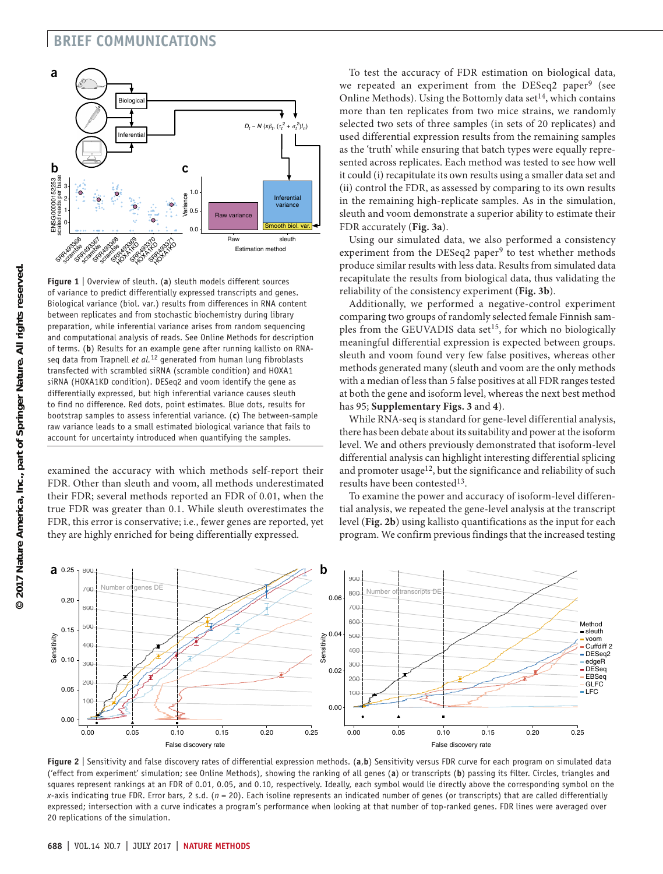### **brief communications**



<span id="page-1-0"></span>**Figure 1** | Overview of sleuth. (**a**) sleuth models different sources of variance to predict differentially expressed transcripts and genes. Biological variance (biol. var.) results from differences in RNA content between replicates and from stochastic biochemistry during library preparation, while inferential variance arises from random sequencing and computational analysis of reads. See Online Methods for description of terms. (**b**) Results for an example gene after running kallisto on RNAseq data from Trapnell *et al.*[12](#page-3-10) generated from human lung fibroblasts transfected with scrambled siRNA (scramble condition) and HOXA1 siRNA (HOXA1KD condition). DESeq2 and voom identify the gene as differentially expressed, but high inferential variance causes sleuth to find no difference. Red dots, point estimates. Blue dots, results for bootstrap samples to assess inferential variance. (**c**) The between-sample raw variance leads to a small estimated biological variance that fails to account for uncertainty introduced when quantifying the samples.

examined the accuracy with which methods self-report their FDR. Other than sleuth and voom, all methods underestimated their FDR; several methods reported an FDR of 0.01, when the true FDR was greater than 0.1. While sleuth overestimates the FDR, this error is conservative; i.e., fewer genes are reported, yet they are highly enriched for being differentially expressed.

To test the accuracy of FDR estimation on biological data, we repeated an experiment from the DESeq2 paper<sup>9</sup> (see Online Methods). Using the Bottomly data set<sup>14</sup>, which contains more than ten replicates from two mice strains, we randomly selected two sets of three samples (in sets of 20 replicates) and used differential expression results from the remaining samples as the 'truth' while ensuring that batch types were equally represented across replicates. Each method was tested to see how well it could (i) recapitulate its own results using a smaller data set and (ii) control the FDR, as assessed by comparing to its own results in the remaining high-replicate samples. As in the simulation, sleuth and voom demonstrate a superior ability to estimate their FDR accurately (**[Fig. 3a](#page-2-0)**).

Using our simulated data, we also performed a consistency experiment from the DESeq2 paper<sup>9</sup> to test whether methods produce similar results with less data. Results from simulated data recapitulate the results from biological data, thus validating the reliability of the consistency experiment (**[Fig. 3b](#page-2-0)**).

Additionally, we performed a negative-control experiment comparing two groups of randomly selected female Finnish sam-ples from the GEUVADIS data set<sup>[15](#page-3-13)</sup>, for which no biologically meaningful differential expression is expected between groups. sleuth and voom found very few false positives, whereas other methods generated many (sleuth and voom are the only methods with a median of less than 5 false positives at all FDR ranges tested at both the gene and isoform level, whereas the next best method has 95; **Supplementary Figs. 3** and **4**).

While RNA-seq is standard for gene-level differential analysis, there has been debate about its suitability and power at the isoform level. We and others previously demonstrated that isoform-level differential analysis can highlight interesting differential splicing and promoter usage<sup>12</sup>, but the significance and reliability of such results have been contested<sup>[13](#page-3-11)</sup>.

To examine the power and accuracy of isoform-level differential analysis, we repeated the gene-level analysis at the transcript level (**[Fig. 2b](#page-1-1)**) using kallisto quantifications as the input for each program. We confirm previous findings that the increased testing



<span id="page-1-1"></span>**Figure 2** | Sensitivity and false discovery rates of differential expression methods. (**a**,**b**) Sensitivity versus FDR curve for each program on simulated data ('effect from experiment' simulation; see Online Methods), showing the ranking of all genes (**a**) or transcripts (**b**) passing its filter. Circles, triangles and squares represent rankings at an FDR of 0.01, 0.05, and 0.10, respectively. Ideally, each symbol would lie directly above the corresponding symbol on the *x*-axis indicating true FDR. Error bars, 2 s.d. (*n* = 20). Each isoline represents an indicated number of genes (or transcripts) that are called differentially expressed; intersection with a curve indicates a program's performance when looking at that number of top-ranked genes. FDR lines were averaged over 20 replications of the simulation.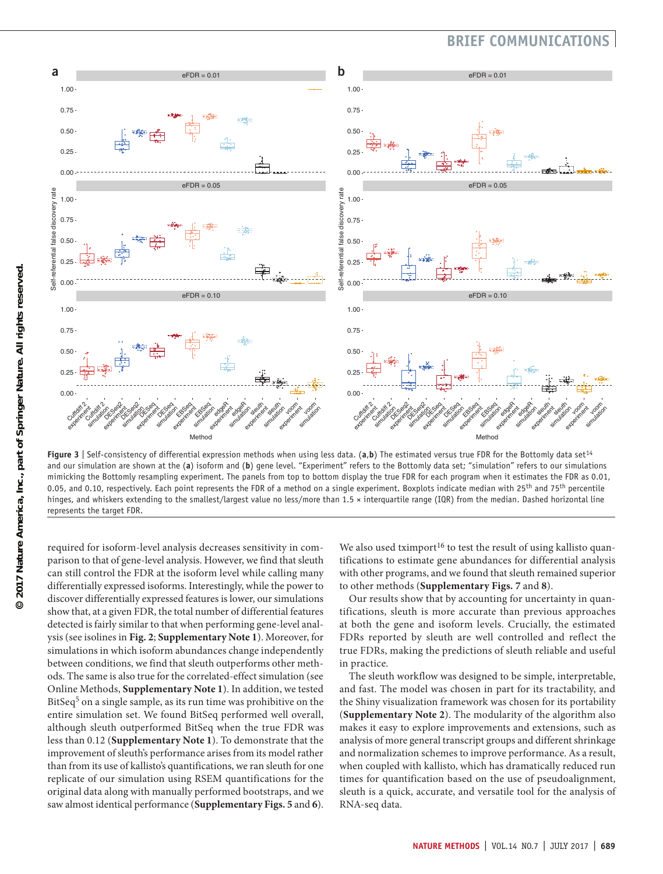## **BRIEF COMMUNICATIO**



<span id="page-2-0"></span>**Figure 3** | Self-consistency of differential expression methods when using less data. (**a**,**b**) The estimated versus true FDR for the Bottomly data set[14](#page-3-12) and our simulation are shown at the (**a**) isoform and (**b**) gene level. "Experiment" refers to the Bottomly data set; "simulation" refers to our simulations mimicking the Bottomly resampling experiment. The panels from top to bottom display the true FDR for each program when it estimates the FDR as 0.01, 0.05, and 0.10, respectively. Each point represents the FDR of a method on a single experiment. Boxplots indicate median with  $25<sup>th</sup>$  and  $75<sup>th</sup>$  percentile hinges, and whiskers extending to the smallest/largest value no less/more than 1.5 × interquartile range (IQR) from the median. Dashed horizontal line represents the target FDR.

required for isoform-level analysis decreases sensitivity in comparison to that of gene-level analysis. However, we find that sleuth can still control the FDR at the isoform level while calling many differentially expressed isoforms. Interestingly, while the power to discover differentially expressed features is lower, our simulations show that, at a given FDR, the total number of differential features detected is fairly similar to that when performing gene-level analysis (see isolines in **[Fig. 2](#page-1-1)**; **Supplementary Note 1**). Moreover, for simulations in which isoform abundances change independently between conditions, we find that sleuth outperforms other methods. The same is also true for the correlated-effect simulation (see Online Methods, **Supplementary Note 1**). In addition, we tested BitSeq<sup>[5](#page-3-3)</sup> on a single sample, as its run time was prohibitive on the entire simulation set. We found BitSeq performed well overall, although sleuth outperformed BitSeq when the true FDR was less than 0.12 (**Supplementary Note 1**). To demonstrate that the improvement of sleuth's performance arises from its model rather than from its use of kallisto's quantifications, we ran sleuth for one replicate of our simulation using RSEM quantifications for the original data along with manually performed bootstraps, and we saw almost identical performance (**Supplementary Figs. 5** and **6**).

We also used tximport<sup>[16](#page-3-14)</sup> to test the result of using kallisto quantifications to estimate gene abundances for differential analysis with other programs, and we found that sleuth remained superior to other methods (**Supplementary Figs. 7** and **8**).

Our results show that by accounting for uncertainty in quantifications, sleuth is more accurate than previous approaches at both the gene and isoform levels. Crucially, the estimated FDRs reported by sleuth are well controlled and reflect the true FDRs, making the predictions of sleuth reliable and useful in practice.

The sleuth workflow was designed to be simple, interpretable, and fast. The model was chosen in part for its tractability, and the Shiny visualization framework was chosen for its portability (**Supplementary Note 2**). The modularity of the algorithm also makes it easy to explore improvements and extensions, such as analysis of more general transcript groups and different shrinkage and normalization schemes to improve performance. As a result, when coupled with kallisto, which has dramatically reduced run times for quantification based on the use of pseudoalignment, sleuth is a quick, accurate, and versatile tool for the analysis of RNA-seq data.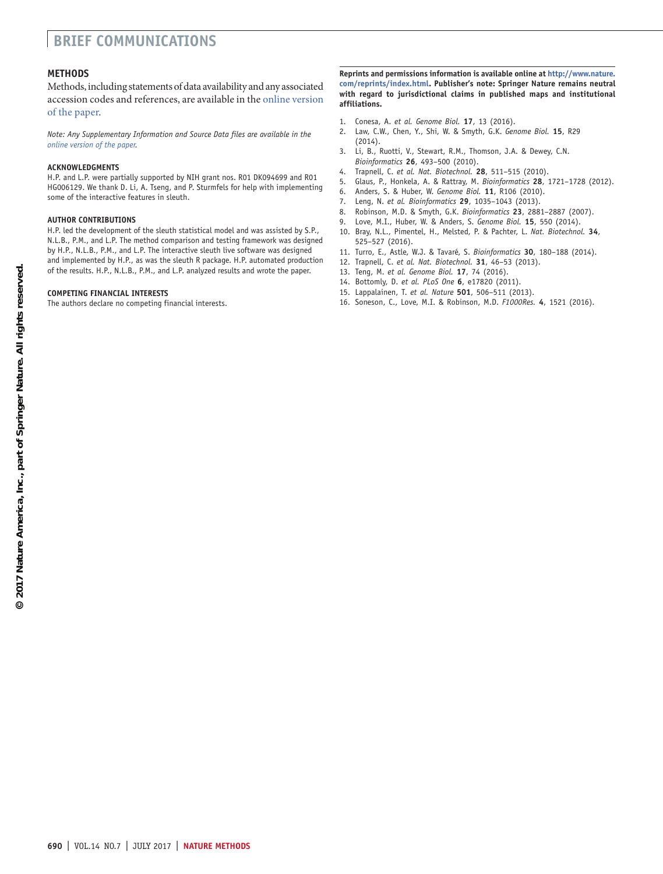## **brief communications**

#### **Methods**

Methods, including statements of data availability and any associated accession codes and references, are available in the online [version](http://dx.doi.org/10.1038/nmeth.4324) of the [paper](http://dx.doi.org/10.1038/nmeth.4324).

*Note: Any Supplementary Information and Source Data files are available in the online [version](http://dx.doi.org/10.1038/nmeth.4324) of the paper.*

#### **Acknowledgments**

H.P. and L.P. were partially supported by NIH grant nos. R01 DK094699 and R01 HG006129. We thank D. Li, A. Tseng, and P. Sturmfels for help with implementing some of the interactive features in sleuth.

#### **AUTHOR CONTRIBUTIONS**

H.P. led the development of the sleuth statistical model and was assisted by S.P., N.L.B., P.M., and L.P. The method comparison and testing framework was designed by H.P., N.L.B., P.M., and L.P. The interactive sleuth live software was designed and implemented by H.P., as was the sleuth R package. H.P. automated production of the results. H.P., N.L.B., P.M., and L.P. analyzed results and wrote the paper.

#### **COMPETING FINANCIAL INTERESTS**

The authors declare no competing financial interests.

#### **Reprints and permissions information is available online at [http://www.nature.](http://www.nature.com/reprints/index.html) [com/reprints/index.html](http://www.nature.com/reprints/index.html). Publisher's note: Springer Nature remains neutral with regard to jurisdictional claims in published maps and institutional affiliations.**

- <span id="page-3-0"></span>1. Conesa, A. *et al. Genome Biol.* **17**, 13 (2016).
- <span id="page-3-1"></span>2. Law, C.W., Chen, Y., Shi, W. & Smyth, G.K. *Genome Biol.* **15**, R29 (2014).
- <span id="page-3-2"></span>3. Li, B., Ruotti, V., Stewart, R.M., Thomson, J.A. & Dewey, C.N. *Bioinformatics* **26**, 493–500 (2010).
- <span id="page-3-15"></span>4. Trapnell, C. *et al. Nat. Biotechnol.* **28**, 511–515 (2010).
- <span id="page-3-3"></span>5. Glaus, P., Honkela, A. & Rattray, M. *Bioinformatics* **28**, 1721–1728 (2012).
- <span id="page-3-4"></span>6. Anders, S. & Huber, W. *Genome Biol.* **11**, R106 (2010).
- <span id="page-3-5"></span>7. Leng, N. *et al. Bioinformatics* **29**, 1035–1043 (2013).
- <span id="page-3-6"></span>8. Robinson, M.D. & Smyth, G.K. *Bioinformatics* **23**, 2881–2887 (2007).
- <span id="page-3-7"></span>9. Love, M.I., Huber, W. & Anders, S. *Genome Biol.* **15**, 550 (2014).
- <span id="page-3-8"></span>10. Bray, N.L., Pimentel, H., Melsted, P. & Pachter, L. *Nat. Biotechnol.* **34**, 525–527 (2016).
- <span id="page-3-9"></span>11. Turro, E., Astle, W.J. & Tavaré, S. *Bioinformatics* **30**, 180–188 (2014).
- <span id="page-3-10"></span>12. Trapnell, C. *et al. Nat. Biotechnol.* **31**, 46–53 (2013).
- <span id="page-3-11"></span>13. Teng, M. *et al. Genome Biol.* **17**, 74 (2016).
- <span id="page-3-12"></span>14. Bottomly, D. *et al. PLoS One* **6**, e17820 (2011).
- <span id="page-3-13"></span>15. Lappalainen, T. *et al. Nature* **501**, 506–511 (2013).
- <span id="page-3-14"></span>16. Soneson, C., Love, M.I. & Robinson, M.D. *F1000Res.* **4**, 1521 (2016).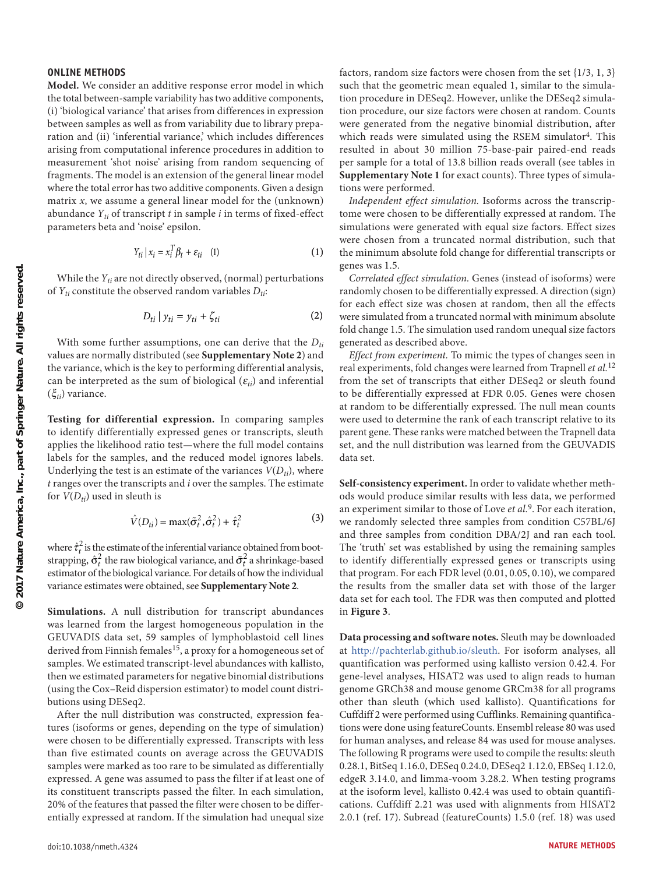#### **ONLINE METHODS**

**Model.** We consider an additive response error model in which the total between-sample variability has two additive components, (i) 'biological variance' that arises from differences in expression between samples as well as from variability due to library preparation and (ii) 'inferential variance,' which includes differences arising from computational inference procedures in addition to measurement 'shot noise' arising from random sequencing of fragments. The model is an extension of the general linear model where the total error has two additive components. Given a design matrix  $x$ , we assume a general linear model for the (unknown) abundance  $Y_{ti}$  of transcript  $t$  in sample  $i$  in terms of fixed-effect parameters beta and 'noise' epsilon.

$$
Y_{ti} \mid x_i = x_i^T \beta_t + \varepsilon_{ti} \quad (1)
$$

While the  $Y_{ti}$  are not directly observed, (normal) perturbations of  $Y_{ti}$  constitute the observed random variables  $D_{ti}$ :

$$
D_{ti} | y_{ti} = y_{ti} + \zeta_{ti}
$$
 (2)

With some further assumptions, one can derive that the  $D_{ti}$ values are normally distributed (see **Supplementary Note 2**) and the variance, which is the key to performing differential analysis, can be interpreted as the sum of biological  $(\varepsilon_{ti})$  and inferential (ξ*ti*) variance.

**Testing for differential expression.** In comparing samples to identify differentially expressed genes or transcripts, sleuth applies the likelihood ratio test—where the full model contains labels for the samples, and the reduced model ignores labels. Underlying the test is an estimate of the variances  $V(D_{ti})$ , where *t* ranges over the transcripts and *i* over the samples. The estimate for  $V(D_{ti})$  used in sleuth is

$$
\hat{V}(D_{ti}) = \max(\tilde{\sigma}_t^2, \hat{\sigma}_t^2) + \hat{\tau}_t^2
$$
\n(3)

 $\lambda$ 

where  $\hat{\tau}_t^2$  is the estimate of the inferential variance obtained from bootstrapping,  $\hat{\sigma}_t^2$  the raw biological variance, and  $\tilde{\sigma}_t^2$  a shrinkage-based estimator of the biological variance. For details of how the individual variance estimates were obtained, see **Supplementary Note 2**.

**Simulations.** A null distribution for transcript abundances was learned from the largest homogeneous population in the GEUVADIS data set, 59 samples of lymphoblastoid cell lines derived from Finnish females<sup>[15](#page-3-13)</sup>, a proxy for a homogeneous set of samples. We estimated transcript-level abundances with kallisto, then we estimated parameters for negative binomial distributions (using the Cox–Reid dispersion estimator) to model count distributions using DESeq2.

After the null distribution was constructed, expression features (isoforms or genes, depending on the type of simulation) were chosen to be differentially expressed. Transcripts with less than five estimated counts on average across the GEUVADIS samples were marked as too rare to be simulated as differentially expressed. A gene was assumed to pass the filter if at least one of its constituent transcripts passed the filter. In each simulation, 20% of the features that passed the filter were chosen to be differentially expressed at random. If the simulation had unequal size factors, random size factors were chosen from the set {1/3, 1, 3} such that the geometric mean equaled 1, similar to the simulation procedure in DESeq2. However, unlike the DESeq2 simulation procedure, our size factors were chosen at random. Counts were generated from the negative binomial distribution, after which reads were simulated using the RSEM simulator<sup>4</sup>. This resulted in about 30 million 75-base-pair paired-end reads per sample for a total of 13.8 billion reads overall (see tables in **Supplementary Note 1** for exact counts). Three types of simulations were performed.

*Independent effect simulation.* Isoforms across the transcriptome were chosen to be differentially expressed at random. The simulations were generated with equal size factors. Effect sizes were chosen from a truncated normal distribution, such that the minimum absolute fold change for differential transcripts or genes was 1.5.

*Correlated effect simulation.* Genes (instead of isoforms) were randomly chosen to be differentially expressed. A direction (sign) for each effect size was chosen at random, then all the effects were simulated from a truncated normal with minimum absolute fold change 1.5. The simulation used random unequal size factors generated as described above.

*Effect from experiment.* To mimic the types of changes seen in real experiments, fold changes were learned from Trapnell *et al.*[12](#page-3-10) from the set of transcripts that either DESeq2 or sleuth found to be differentially expressed at FDR 0.05. Genes were chosen at random to be differentially expressed. The null mean counts were used to determine the rank of each transcript relative to its parent gene. These ranks were matched between the Trapnell data set, and the null distribution was learned from the GEUVADIS data set.

**Self-consistency experiment.** In order to validate whether methods would produce similar results with less data, we performed an experiment similar to those of Love *et al.*[9.](#page-3-7) For each iteration, we randomly selected three samples from condition C57BL/6J and three samples from condition DBA/2J and ran each tool. The 'truth' set was established by using the remaining samples to identify differentially expressed genes or transcripts using that program. For each FDR level (0.01, 0.05, 0.10), we compared the results from the smaller data set with those of the larger data set for each tool. The FDR was then computed and plotted in **[Figure 3](#page-2-0)**.

**Data processing and software notes.** Sleuth may be downloaded at [http://pachterlab.github.io/sleuth.](http://pachterlab.github.io/sleuth) For isoform analyses, all quantification was performed using kallisto version 0.42.4. For gene-level analyses, HISAT2 was used to align reads to human genome GRCh38 and mouse genome GRCm38 for all programs other than sleuth (which used kallisto). Quantifications for Cuffdiff 2 were performed using Cufflinks. Remaining quantifications were done using featureCounts. Ensembl release 80 was used for human analyses, and release 84 was used for mouse analyses. The following R programs were used to compile the results: sleuth 0.28.1, BitSeq 1.16.0, DESeq 0.24.0, DESeq2 1.12.0, EBSeq 1.12.0, edgeR 3.14.0, and limma-voom 3.28.2. When testing programs at the isoform level, kallisto 0.42.4 was used to obtain quantifications. Cuffdiff 2.21 was used with alignments from HISAT2 2.0.1 (ref. [17\)](#page-5-0). Subread (featureCounts) 1.5.0 (ref. [18](#page-5-1)) was used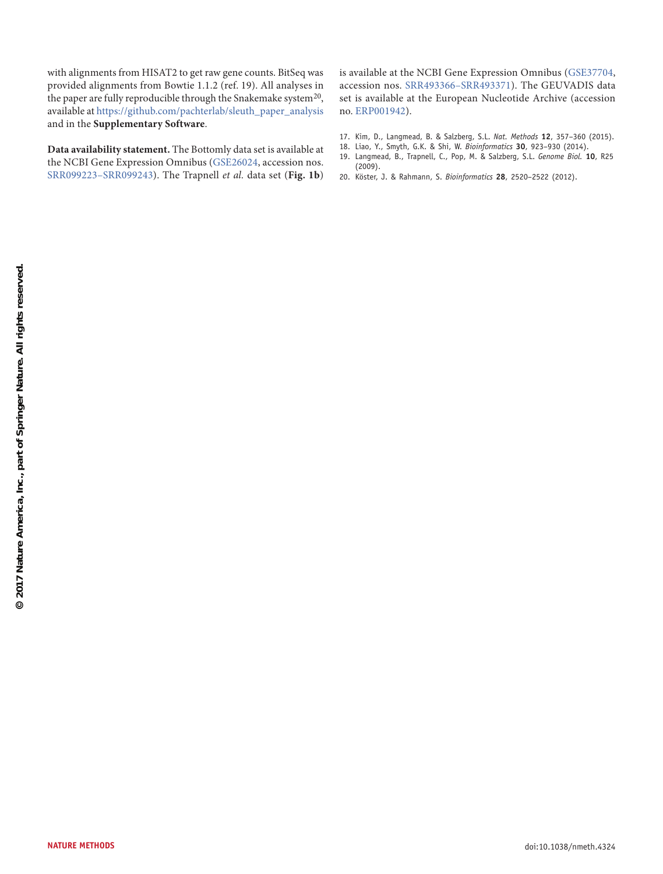with alignments from HISAT2 to get raw gene counts. BitSeq was provided alignments from Bowtie 1.1.2 (ref. [19](#page-5-2)). All analyses in the paper are fully reproducible through the Snakemake system<sup>20</sup>, available at [https://github.com/pachterlab/sleuth\\_paper\\_analysis](https://github.com/pachterlab/sleuth_paper_analysis) and in the **Supplementary Software**.

**Data availability statement.** The Bottomly data set is available at the NCBI Gene Expression Omnibus ([GSE26024,](https://www.ncbi.nlm.nih.gov/geo/query/acc.cgi?acc=GSE26024) accession nos. [SRR099223–SRR099243](https://trace.ncbi.nlm.nih.gov/Traces/sra/?study=SRP004777)). The Trapnell *et al.* data set (**[Fig. 1b](#page-1-0)**) is available at the NCBI Gene Expression Omnibus ([GSE37704](https://www.ncbi.nlm.nih.gov/geo/query/acc.cgi?acc=GSE37704+), accession nos. [SRR493366–SRR493371\)](https://trace.ncbi.nlm.nih.gov/Traces/sra/?study=SRP012607). The GEUVADIS data set is available at the European Nucleotide Archive (accession no. [ERP001942](http://www.ebi.ac.uk/ena/data/view/PRJEB3366)).

- <span id="page-5-0"></span>17. Kim, D., Langmead, B. & Salzberg, S.L. *Nat. Methods* **12**, 357–360 (2015).
- <span id="page-5-1"></span>18. Liao, Y., Smyth, G.K. & Shi, W. *Bioinformatics* **30**, 923–930 (2014).
- <span id="page-5-2"></span>19. Langmead, B., Trapnell, C., Pop, M. & Salzberg, S.L. *Genome Biol.* **10**, R25 (2009).
- 20. Köster, J. & Rahmann, S. *Bioinformatics* **28**, 2520–2522 (2012).